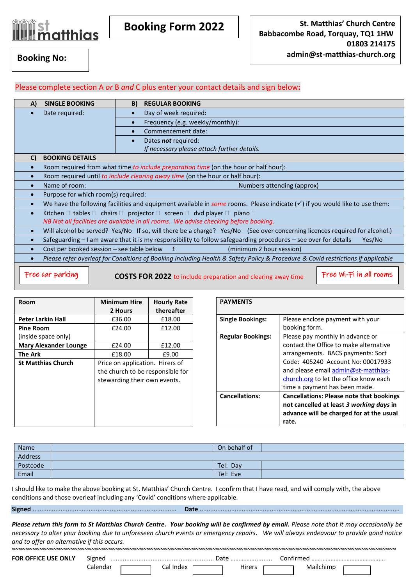

**Booking Form 2022**

## Please complete section A *or* B *and* C plus enter your contact details and sign below**:**

| A)                                                                                                                                           | <b>SINGLE BOOKING</b>                                                                                                                 | B)<br><b>REGULAR BOOKING</b>                                                                   |  |  |  |
|----------------------------------------------------------------------------------------------------------------------------------------------|---------------------------------------------------------------------------------------------------------------------------------------|------------------------------------------------------------------------------------------------|--|--|--|
| $\bullet$                                                                                                                                    | Date required:                                                                                                                        | Day of week required:                                                                          |  |  |  |
|                                                                                                                                              |                                                                                                                                       | Frequency (e.g. weekly/monthly):<br>$\bullet$                                                  |  |  |  |
|                                                                                                                                              |                                                                                                                                       | Commencement date:                                                                             |  |  |  |
|                                                                                                                                              |                                                                                                                                       | Dates not required:                                                                            |  |  |  |
|                                                                                                                                              |                                                                                                                                       | If necessary please attach further details.                                                    |  |  |  |
| C)                                                                                                                                           | <b>BOOKING DETAILS</b>                                                                                                                |                                                                                                |  |  |  |
| $\bullet$                                                                                                                                    |                                                                                                                                       | Room required from what time to include preparation time (on the hour or half hour):           |  |  |  |
| $\bullet$                                                                                                                                    | Room required until to include clearing away time (on the hour or half hour):                                                         |                                                                                                |  |  |  |
| $\bullet$                                                                                                                                    | Name of room:<br>Numbers attending (approx)                                                                                           |                                                                                                |  |  |  |
| $\bullet$                                                                                                                                    | Purpose for which room(s) required:                                                                                                   |                                                                                                |  |  |  |
| $\bullet$                                                                                                                                    | We have the following facilities and equipment available in some rooms. Please indicate $(\checkmark)$ if you would like to use them: |                                                                                                |  |  |  |
| $\bullet$                                                                                                                                    | Kitchen $\Box$ tables $\Box$ chairs $\Box$ projector $\Box$ screen $\Box$ dvd player $\Box$ piano $\Box$                              |                                                                                                |  |  |  |
| NB Not all facilities are available in all rooms. We advise checking before booking.                                                         |                                                                                                                                       |                                                                                                |  |  |  |
| $\bullet$                                                                                                                                    | Will alcohol be served? Yes/No If so, will there be a charge? Yes/No (See over concerning licences required for alcohol.)             |                                                                                                |  |  |  |
| $\bullet$                                                                                                                                    | Safeguarding - I am aware that it is my responsibility to follow safeguarding procedures - see over for details<br>Yes/No             |                                                                                                |  |  |  |
| Cost per booked session $-$ see table below $E$<br>(minimum 2 hour session)<br>$\bullet$                                                     |                                                                                                                                       |                                                                                                |  |  |  |
| Please refer overleaf for Conditions of Booking including Health & Safety Policy & Procedure & Covid restrictions if applicable<br>$\bullet$ |                                                                                                                                       |                                                                                                |  |  |  |
|                                                                                                                                              | Free car parking                                                                                                                      | Free Wi-Fi in all rooms<br><b>COSTS FOR 2022 to include preparation and clearing away time</b> |  |  |  |

| <b>Room</b>                  | <b>Minimum Hire</b>              | <b>Hourly Rate</b> |  |
|------------------------------|----------------------------------|--------------------|--|
|                              | 2 Hours                          | thereafter         |  |
| <b>Peter Larkin Hall</b>     | £36.00                           | £18.00             |  |
| <b>Pine Room</b>             | £24.00                           | £12.00             |  |
| (inside space only)          |                                  |                    |  |
| <b>Mary Alexander Lounge</b> | £24.00                           | £12.00             |  |
| <b>The Ark</b>               | £18.00                           | £9.00              |  |
| <b>St Matthias Church</b>    | Price on application. Hirers of  |                    |  |
|                              | the church to be responsible for |                    |  |
|                              | stewarding their own events.     |                    |  |
|                              |                                  |                    |  |
|                              |                                  |                    |  |
|                              |                                  |                    |  |
|                              |                                  |                    |  |
|                              |                                  |                    |  |

| <b>PAYMENTS</b>          |                                                 |
|--------------------------|-------------------------------------------------|
| <b>Single Bookings:</b>  | Please enclose payment with your                |
|                          | booking form.                                   |
| <b>Regular Bookings:</b> | Please pay monthly in advance or                |
|                          | contact the Office to make alternative          |
|                          | arrangements. BACS payments: Sort               |
|                          | Code: 405240 Account No: 00017933               |
|                          | and please email admin@st-matthias-             |
|                          | church.org to let the office know each          |
|                          | time a payment has been made.                   |
| <b>Cancellations:</b>    | <b>Cancellations: Please note that bookings</b> |
|                          | not cancelled at least 3 working days in        |
|                          | advance will be charged for at the usual        |
|                          | rate.                                           |

| Name     | On behalf of |  |
|----------|--------------|--|
| Address  |              |  |
| Postcode | Tel: Day     |  |
| Email    | Tel: Eve     |  |

I should like to make the above booking at St. Matthias' Church Centre. I confirm that I have read, and will comply with, the above conditions and those overleaf including any 'Covid' conditions where applicable.

**Signed** .................................................................................. **Date** ..................................................................................................................

*Please return this form to St Matthias Church Centre. Your booking will be confirmed by email. Please note that it may occasionally be necessary to alter your booking due to unforeseen church events or emergency repairs. We will always endeavour to provide good notice and to offer an alternative if this occurs.*

| <b>FOR OFFICE USE ONLY</b> | Signed                | Date   | Contirmed |  |
|----------------------------|-----------------------|--------|-----------|--|
|                            | Cal Index<br>Calendar | Hirers | Mailchimp |  |
|                            |                       |        |           |  |